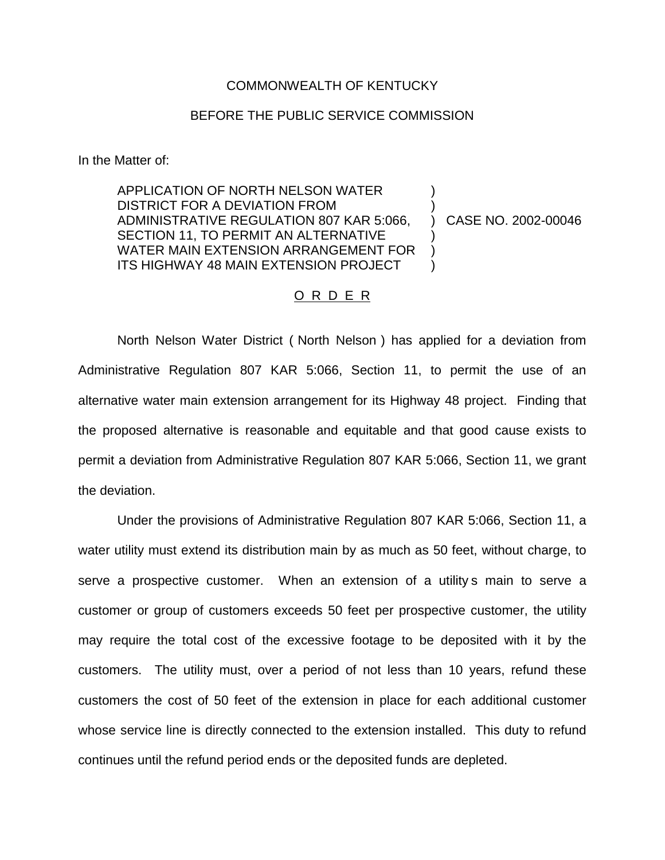## COMMONWEALTH OF KENTUCKY

## BEFORE THE PUBLIC SERVICE COMMISSION

In the Matter of:

APPLICATION OF NORTH NELSON WATER DISTRICT FOR A DEVIATION FROM ADMINISTRATIVE REGULATION 807 KAR 5:066, SECTION 11, TO PERMIT AN ALTERNATIVE WATER MAIN EXTENSION ARRANGEMENT FOR ITS HIGHWAY 48 MAIN EXTENSION PROJECT ) ) ) CASE NO. 2002-00046 ) ) )

## O R D E R

North Nelson Water District ( North Nelson ) has applied for a deviation from Administrative Regulation 807 KAR 5:066, Section 11, to permit the use of an alternative water main extension arrangement for its Highway 48 project. Finding that the proposed alternative is reasonable and equitable and that good cause exists to permit a deviation from Administrative Regulation 807 KAR 5:066, Section 11, we grant the deviation.

Under the provisions of Administrative Regulation 807 KAR 5:066, Section 11, a water utility must extend its distribution main by as much as 50 feet, without charge, to serve a prospective customer. When an extension of a utility is main to serve a customer or group of customers exceeds 50 feet per prospective customer, the utility may require the total cost of the excessive footage to be deposited with it by the customers. The utility must, over a period of not less than 10 years, refund these customers the cost of 50 feet of the extension in place for each additional customer whose service line is directly connected to the extension installed. This duty to refund continues until the refund period ends or the deposited funds are depleted.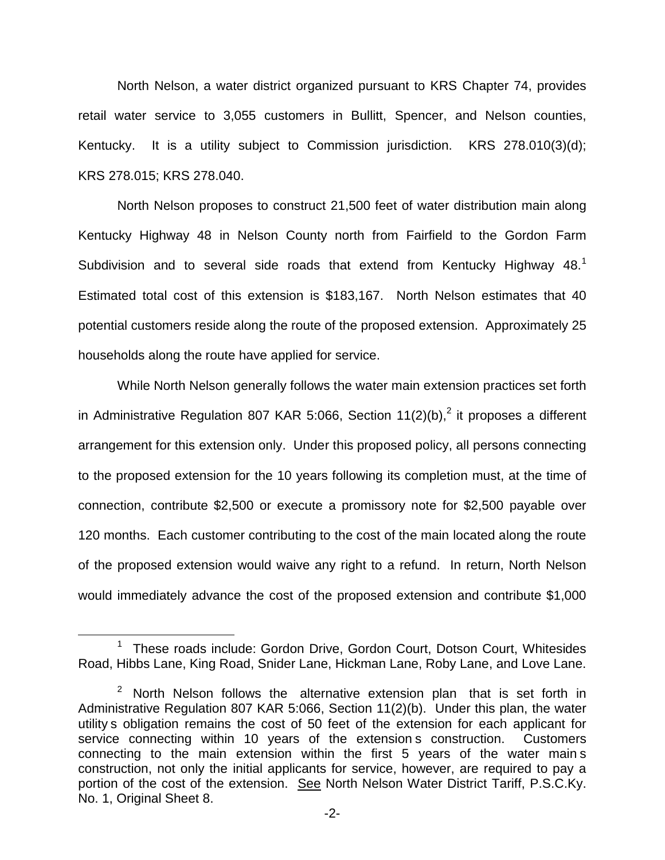North Nelson, a water district organized pursuant to KRS Chapter 74, provides retail water service to 3,055 customers in Bullitt, Spencer, and Nelson counties, Kentucky. It is a utility subject to Commission jurisdiction. KRS 278.010(3)(d); KRS 278.015; KRS 278.040.

North Nelson proposes to construct 21,500 feet of water distribution main along Kentucky Highway 48 in Nelson County north from Fairfield to the Gordon Farm Subdivision and to several side roads that extend from Kentucky Highway  $48<sup>1</sup>$ Estimated total cost of this extension is \$183,167. North Nelson estimates that 40 potential customers reside along the route of the proposed extension. Approximately 25 households along the route have applied for service.

While North Nelson generally follows the water main extension practices set forth in Administrative Regulation 807 KAR 5:066, Section  $11(2)(b)$ ,<sup>2</sup> it proposes a different arrangement for this extension only. Under this proposed policy, all persons connecting to the proposed extension for the 10 years following its completion must, at the time of connection, contribute \$2,500 or execute a promissory note for \$2,500 payable over 120 months. Each customer contributing to the cost of the main located along the route of the proposed extension would waive any right to a refund. In return, North Nelson would immediately advance the cost of the proposed extension and contribute \$1,000

<sup>&</sup>lt;sup>1</sup> These roads include: Gordon Drive, Gordon Court, Dotson Court, Whitesides Road, Hibbs Lane, King Road, Snider Lane, Hickman Lane, Roby Lane, and Love Lane.

 $2$  North Nelson follows the alternative extension plan that is set forth in Administrative Regulation 807 KAR 5:066, Section 11(2)(b). Under this plan, the water utility s obligation remains the cost of 50 feet of the extension for each applicant for service connecting within 10 years of the extension s construction. Customers connecting to the main extension within the first 5 years of the water main s construction, not only the initial applicants for service, however, are required to pay a portion of the cost of the extension. See North Nelson Water District Tariff, P.S.C.Ky. No. 1, Original Sheet 8.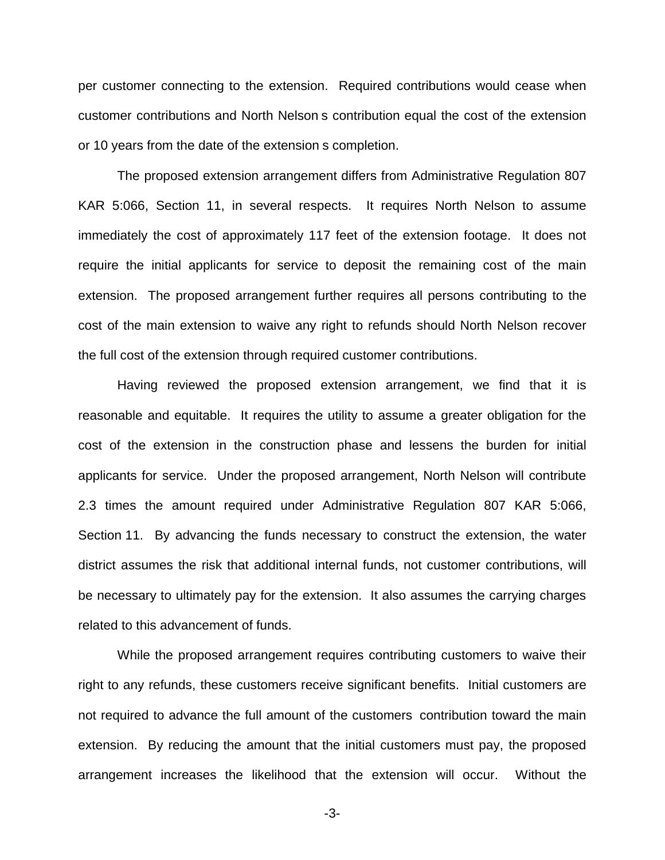per customer connecting to the extension. Required contributions would cease when customer contributions and North Nelson s contribution equal the cost of the extension or 10 years from the date of the extension s completion.

The proposed extension arrangement differs from Administrative Regulation 807 KAR 5:066, Section 11, in several respects. It requires North Nelson to assume immediately the cost of approximately 117 feet of the extension footage. It does not require the initial applicants for service to deposit the remaining cost of the main extension. The proposed arrangement further requires all persons contributing to the cost of the main extension to waive any right to refunds should North Nelson recover the full cost of the extension through required customer contributions.

Having reviewed the proposed extension arrangement, we find that it is reasonable and equitable. It requires the utility to assume a greater obligation for the cost of the extension in the construction phase and lessens the burden for initial applicants for service. Under the proposed arrangement, North Nelson will contribute 2.3 times the amount required under Administrative Regulation 807 KAR 5:066, Section 11. By advancing the funds necessary to construct the extension, the water district assumes the risk that additional internal funds, not customer contributions, will be necessary to ultimately pay for the extension. It also assumes the carrying charges related to this advancement of funds.

While the proposed arrangement requires contributing customers to waive their right to any refunds, these customers receive significant benefits. Initial customers are not required to advance the full amount of the customers contribution toward the main extension. By reducing the amount that the initial customers must pay, the proposed arrangement increases the likelihood that the extension will occur. Without the

-3-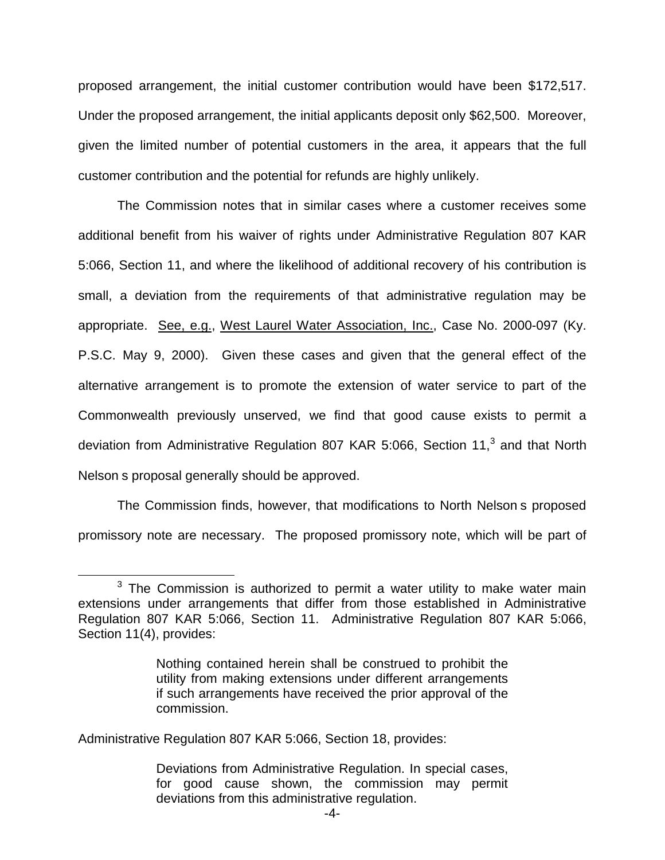proposed arrangement, the initial customer contribution would have been \$172,517. Under the proposed arrangement, the initial applicants deposit only \$62,500. Moreover, given the limited number of potential customers in the area, it appears that the full customer contribution and the potential for refunds are highly unlikely.

The Commission notes that in similar cases where a customer receives some additional benefit from his waiver of rights under Administrative Regulation 807 KAR 5:066, Section 11, and where the likelihood of additional recovery of his contribution is small, a deviation from the requirements of that administrative regulation may be appropriate. See, e.g., West Laurel Water Association, Inc., Case No. 2000-097 (Ky. P.S.C. May 9, 2000). Given these cases and given that the general effect of the alternative arrangement is to promote the extension of water service to part of the Commonwealth previously unserved, we find that good cause exists to permit a deviation from Administrative Regulation 807 KAR 5:066, Section 11, $3$  and that North Nelson s proposal generally should be approved.

The Commission finds, however, that modifications to North Nelson s proposed promissory note are necessary. The proposed promissory note, which will be part of

 $3$  The Commission is authorized to permit a water utility to make water main extensions under arrangements that differ from those established in Administrative Regulation 807 KAR 5:066, Section 11. Administrative Regulation 807 KAR 5:066, Section 11(4), provides:

Nothing contained herein shall be construed to prohibit the utility from making extensions under different arrangements if such arrangements have received the prior approval of the commission.

Administrative Regulation 807 KAR 5:066, Section 18, provides:

Deviations from Administrative Regulation. In special cases, for good cause shown, the commission may permit deviations from this administrative regulation.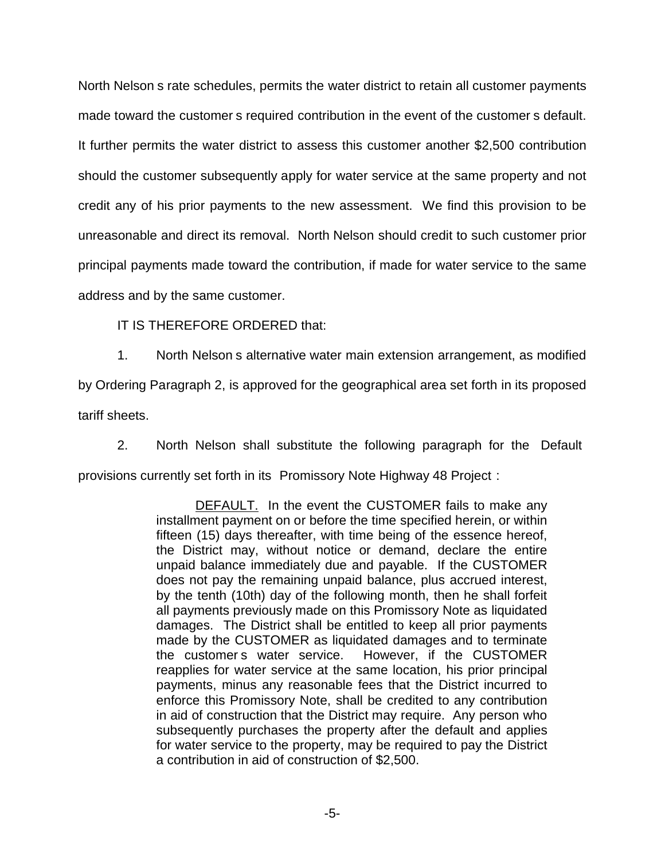North Nelson s rate schedules, permits the water district to retain all customer payments made toward the customer s required contribution in the event of the customer s default. It further permits the water district to assess this customer another \$2,500 contribution should the customer subsequently apply for water service at the same property and not credit any of his prior payments to the new assessment. We find this provision to be unreasonable and direct its removal. North Nelson should credit to such customer prior principal payments made toward the contribution, if made for water service to the same address and by the same customer.

IT IS THEREFORE ORDERED that:

1. North Nelson s alternative water main extension arrangement, as modified by Ordering Paragraph 2, is approved for the geographical area set forth in its proposed tariff sheets.

2. North Nelson shall substitute the following paragraph for the Default provisions currently set forth in its Promissory Note Highway 48 Project :

> DEFAULT. In the event the CUSTOMER fails to make any installment payment on or before the time specified herein, or within fifteen (15) days thereafter, with time being of the essence hereof, the District may, without notice or demand, declare the entire unpaid balance immediately due and payable. If the CUSTOMER does not pay the remaining unpaid balance, plus accrued interest, by the tenth (10th) day of the following month, then he shall forfeit all payments previously made on this Promissory Note as liquidated damages. The District shall be entitled to keep all prior payments made by the CUSTOMER as liquidated damages and to terminate the customer s water service. However, if the CUSTOMER reapplies for water service at the same location, his prior principal payments, minus any reasonable fees that the District incurred to enforce this Promissory Note, shall be credited to any contribution in aid of construction that the District may require. Any person who subsequently purchases the property after the default and applies for water service to the property, may be required to pay the District a contribution in aid of construction of \$2,500.